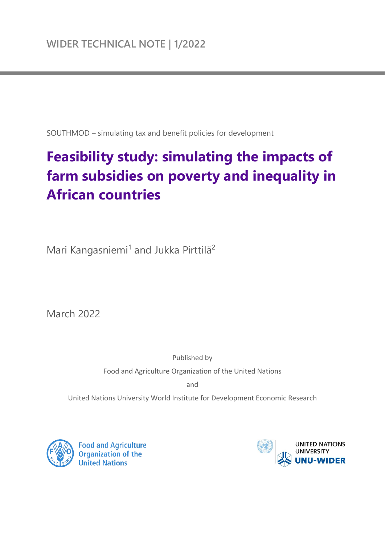SOUTHMOD – simulating tax and benefit policies for development

# **Feasibility study: simulating the impacts of farm subsidies on poverty and inequality in African countries**

Mari Kangasniemi<sup>1</sup> and Jukka Pirttilä<sup>2</sup>

March 2022

Published by Food and Agriculture Organization of the United Nations

and

United Nations University World Institute for Development Economic Research



**Food and Agriculture** Organization of the **United Nations** 

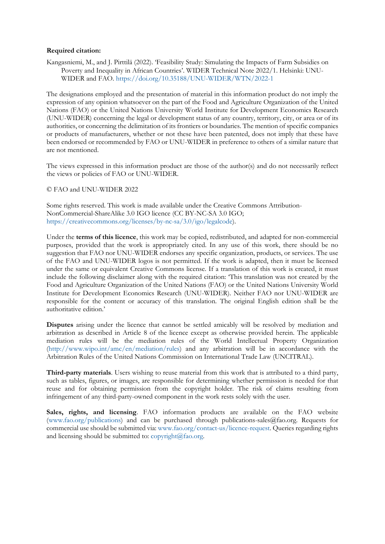#### **Required citation:**

Kangasniemi, M., and J. Pirttilä (2022). 'Feasibility Study: Simulating the Impacts of Farm Subsidies on Poverty and Inequality in African Countries'. WIDER Technical Note 2022/1. Helsinki: UNU-WIDER and FAO.<https://doi.org/10.35188/UNU-WIDER/WTN/2022-1>

The designations employed and the presentation of material in this information product do not imply the expression of any opinion whatsoever on the part of the Food and Agriculture Organization of the United Nations (FAO) or the United Nations University World Institute for Development Economics Research (UNU-WIDER) concerning the legal or development status of any country, territory, city, or area or of its authorities, or concerning the delimitation of its frontiers or boundaries. The mention of specific companies or products of manufacturers, whether or not these have been patented, does not imply that these have been endorsed or recommended by FAO or UNU-WIDER in preference to others of a similar nature that are not mentioned.

The views expressed in this information product are those of the author(s) and do not necessarily reflect the views or policies of FAO or UNU-WIDER.

#### [© FAO and UNU-WIDER 2022](https://doi.org/10.35188/UNU-WIDER/WTN/2022-1)

Some rights reserved. This work is made available under the Creative Commons Attribution-NonCommercial-ShareAlike 3.0 IGO licence (CC BY-NC-SA 3.0 IGO; https://creativecommons.org/licenses/by-nc-sa/3.0/igo/legalcode).

Under the **terms of this licence**, this work may be copied, redistributed, and adapted for non-commercial [purposes, provided that the work is appropriately cited. In](https://creativecommons.org/licenses/by-nc-sa/3.0/igo/legalcode) any use of this work, there should be no suggestion that FAO nor UNU-WIDER endorses any specific organization, products, or services. The use of the FAO and UNU-WIDER logos is not permitted. If the work is adapted, then it must be licensed under the same or equivalent Creative Commons license. If a translation of this work is created, it must include the following disclaimer along with the required citation: 'This translation was not created by the Food and Agriculture Organization of the United Nations (FAO) or the United Nations University World Institute for Development Economics Research (UNU-WIDER). Neither FAO nor UNU-WIDER are responsible for the content or accuracy of this translation. The original English edition shall be the authoritative edition.'

**Disputes** arising under the licence that cannot be settled amicably will be resolved by mediation and arbitration as described in Article 8 of the licence except as otherwise provided herein. The applicable mediation rules will be the mediation rules of the World Intellectual Property Organization (http://www.wipo.int/amc/en/mediation/rules) and any arbitration will be in accordance with the [Arbitration Rules of the United Nations Commis](http://www.wipo.int/amc/en/mediation/rules)sion on International Trade Law (UNCITRAL).

**Third-party materials**. Users wishing to reuse material from this work that is attributed to a third party, such as tables, figures, or images, are responsible for determining whether permission is needed for that reuse and for obtaining permission from the copyright holder. The risk of claims resulting from infringement of any third-party-owned component in the work rests solely with the user.

**Sales, rights, and licensing**. FAO information products are available on the FAO website (www.fao.org/publications) and can be purchased through publications-sales@fao.org. Requests for commercial use should be submitted via: www.fao.org/contact-us/licence-request. Queries regarding rights [and licensing should be sub](http://www.fao.org/publications)mitted to:  $\text{copyright}(a)$  fao.org.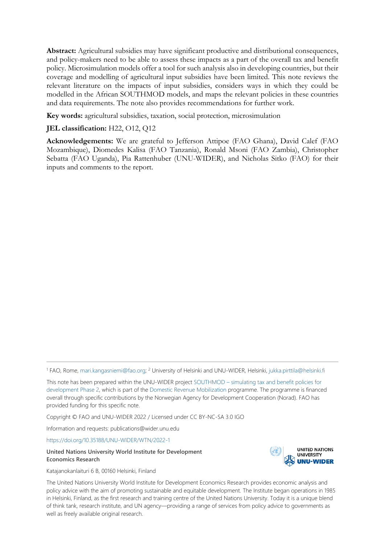**Abstract:** Agricultural subsidies may have significant productive and distributional consequences, and policy-makers need to be able to assess these impacts as a part of the overall tax and benefit policy. Microsimulation models offer a tool for such analysis also in developing countries, but their coverage and modelling of agricultural input subsidies have been limited. This note reviews the relevant literature on the impacts of input subsidies, considers ways in which they could be modelled in the African SOUTHMOD models, and maps the relevant policies in these countries and data requirements. The note also provides recommendations for further work.

**Key words:** agricultural subsidies, taxation, social protection, microsimulation

#### **JEL classification:** H22, O12, Q12

**Acknowledgements:** We are grateful to Jefferson Attipoe (FAO Ghana), David Calef (FAO Mozambique), Diomedes Kalisa (FAO Tanzania), Ronald Msoni (FAO Zambia), Christopher Sebatta (FAO Uganda), Pia Rattenhuber (UNU-WIDER), and Nicholas Sitko (FAO) for their inputs and comments to the report.

<sup>1</sup> FAO, Rome, [mari.kangasniemi@fao.org;](mailto:mari.kangasniemi@fao.org) 2 University of Helsinki and UNU-WIDER, Helsinki, [jukka.pirttila@helsinki.fi](mailto:jukka.pirttila@helsinki.fi)

This note has been prepared within the UNU-WIDER project SOUTHMOD – [simulating tax and benefit policies for](https://www.wider.unu.edu/node/236949)  [development Phase 2,](https://www.wider.unu.edu/node/236949) which is part of th[e Domestic Revenue Mobilization](https://www.wider.unu.edu/node/237587) programme. The programme is financed overall through specific contributions by the Norwegian Agency for Development Cooperation (Norad). FAO has provided funding for this specific note.

Copyright © FAO and UNU-WIDER 2022 / Licensed under CC BY-NC-SA 3.0 IGO

Information and requests: publications@wider.unu.edu

<https://doi.org/10.35188/UNU-WIDER/WTN/2022-1>

#### **United Nations University World Institute for Development Economics Research**

**UNITED NATIONS UNIVERSITY UNU-WIDER** 

Katajanokanlaituri 6 B, 00160 Helsinki, Finland

The United Nations University World Institute for Development Economics Research provides economic analysis and policy advice with the aim of promoting sustainable and equitable development. The Institute began operations in 1985 in Helsinki, Finland, as the first research and training centre of the United Nations University. Today it is a unique blend of think tank, research institute, and UN agency—providing a range of services from policy advice to governments as well as freely available original research.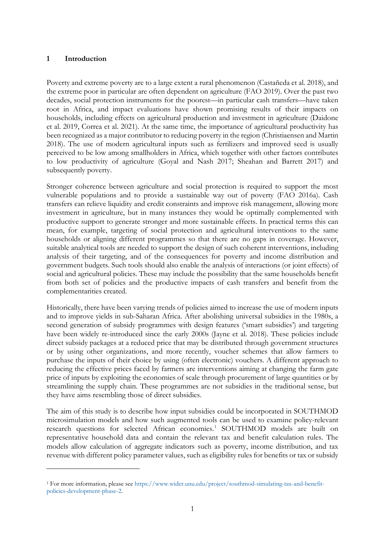#### **1 Introduction**

Poverty and extreme poverty are to a large extent a rural phenomenon (Castañeda et al. 2018), and the extreme poor in particular are often dependent on agriculture (FAO 2019). Over the past two decades, social protection instruments for the poorest—in particular cash transfers—have taken root in Africa, and impact evaluations have shown promising results of their impacts on households, including effects on agricultural production and investment in agriculture (Daidone et al. 2019, Correa et al. 2021). At the same time, the importance of agricultural productivity has been recognized as a major contributor to reducing poverty in the region (Christiaensen and Martin 2018). The use of modern agricultural inputs such as fertilizers and improved seed is usually perceived to be low among smallholders in Africa, which together with other factors contributes to low productivity of agriculture (Goyal and Nash 2017; Sheahan and Barrett 2017) and subsequently poverty.

Stronger coherence between agriculture and social protection is required to support the most vulnerable populations and to provide a sustainable way out of poverty (FAO 2016a). Cash transfers can relieve liquidity and credit constraints and improve risk management, allowing more investment in agriculture, but in many instances they would be optimally complemented with productive support to generate stronger and more sustainable effects. In practical terms this can mean, for example, targeting of social protection and agricultural interventions to the same households or aligning different programmes so that there are no gaps in coverage. However, suitable analytical tools are needed to support the design of such coherent interventions, including analysis of their targeting, and of the consequences for poverty and income distribution and government budgets. Such tools should also enable the analysis of interactions (or joint effects) of social and agricultural policies. These may include the possibility that the same households benefit from both set of policies and the productive impacts of cash transfers and benefit from the complementarities created.

Historically, there have been varying trends of policies aimed to increase the use of modern inputs and to improve yields in sub-Saharan Africa. After abolishing universal subsidies in the 1980s, a second generation of subsidy programmes with design features ('smart subsidies') and targeting have been widely re-introduced since the early 2000s (Jayne et al. 2018). These policies include direct subsidy packages at a reduced price that may be distributed through government structures or by using other organizations, and more recently, voucher schemes that allow farmers to purchase the inputs of their choice by using (often electronic) vouchers. A different approach to reducing the effective prices faced by farmers are interventions aiming at changing the farm gate price of inputs by exploiting the economies of scale through procurement of large quantities or by streamlining the supply chain. These programmes are not subsidies in the traditional sense, but they have aims resembling those of direct subsidies.

The aim of this study is to describe how input subsidies could be incorporated in SOUTHMOD microsimulation models and how such augmented tools can be used to examine policy-relevant research questions for selected African economies.<sup>[1](#page-3-0)</sup> SOUTHMOD models are built on representative household data and contain the relevant tax and benefit calculation rules. The models allow calculation of aggregate indicators such as poverty, income distribution, and tax revenue with different policy parameter values, such as eligibility rules for benefits or tax or subsidy

<span id="page-3-0"></span><sup>1</sup> For more information, please see [https://www.wider.unu.edu/project/southmod-simulating-tax-and-benefit](https://www.wider.unu.edu/project/southmod-simulating-tax-and-benefit-policies-development-phase-2)[policies-development-phase-2.](https://www.wider.unu.edu/project/southmod-simulating-tax-and-benefit-policies-development-phase-2)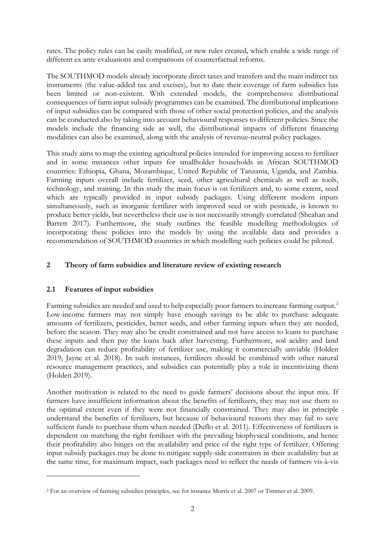rates. The policy rules can be easily modified, or new rules created, which enable a wide range of different ex ante evaluations and comparisons of counterfactual reforms.

The SOUTHMOD models already incorporate direct taxes and transfers and the main indirect tax instruments (the value-added tax and excises), but to date their coverage of farm subsidies has been limited or non-existent. With extended models, the comprehensive distributional consequences of farm input subsidy programmes can be examined. The distributional implications of input subsidies can be compared with those of other social protection policies, and the analysis can be conducted also by taking into account behavioural responses to different policies. Since the models include the financing side as well, the distributional impacts of different financing modalities can also be examined, along with the analysis of revenue-neutral policy packages.

This study aims to map the existing agricultural policies intended for improving access to fertilizer and in some instances other inputs for smallholder households in African SOUTHMOD countries: Ethiopia, Ghana, Mozambique, United Republic of Tanzania, Uganda, and Zambia. Farming inputs overall include fertilizer, seed, other agricultural chemicals as well as tools, technology, and training. In this study the main focus is on fertilizers and, to some extent, seed which are typically provided in input subsidy packages. Using different modern inputs simultaneously, such as inorganic fertilizer with improved seed or with pesticide, is known to produce better yields, but nevertheless their use is not necessarily strongly correlated (Sheahan and Barrett 2017). Furthermore, the study outlines the feasible modelling methodologies of incorporating these policies into the models by using the available data and provides a recommendation of SOUTHMOD countries in which modelling such policies could be piloted.

#### **2 Theory of farm subsidies and literature review of existing research**

#### **2.1 Features of input subsidies**

Farming subsidies are needed and used to help especially poor farmers to increase farming output.<sup>[2](#page-4-0)</sup> Low-income farmers may not simply have enough savings to be able to purchase adequate amounts of fertilizers, pesticides, better seeds, and other farming inputs when they are needed, before the season. They may also be credit constrained and not have access to loans to purchase these inputs and then pay the loans back after harvesting. Furthermore, soil acidity and land degradation can reduce profitability of fertilizer use, making it commercially unviable (Holden 2019; Jayne et al. 2018). In such instances, fertilizers should be combined with other natural resource management practices, and subsidies can potentially play a role in incentivizing them (Holden 2019).

Another motivation is related to the need to guide farmers' decisions about the input mix. If farmers have insufficient information about the benefits of fertilizers, they may not use them to the optimal extent even if they were not financially constrained. They may also in principle understand the benefits of fertilizers, but because of behavioural reasons they may fail to save sufficient funds to purchase them when needed (Duflo et al. 2011). Effectiveness of fertilizers is dependent on matching the right fertilizer with the prevailing biophysical conditions, and hence their profitability also hinges on the availability and price of the right type of fertilizer. Offering input subsidy packages may be done to mitigate supply-side constraints in their availability but at the same time, for maximum impact, such packages need to reflect the needs of farmers vis-à-vis

<span id="page-4-0"></span><sup>2</sup> For an overview of farming subsidies principles, see for instance Morris et al. 2007 or Timmer et al. 2009.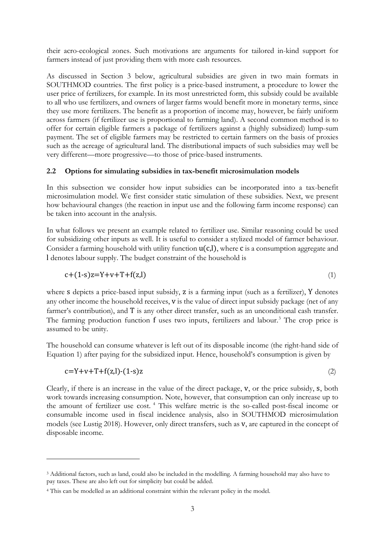their acro-ecological zones. Such motivations are arguments for tailored in-kind support for farmers instead of just providing them with more cash resources.

As discussed in Section 3 below, agricultural subsidies are given in two main formats in SOUTHMOD countries. The first policy is a price-based instrument, a procedure to lower the user price of fertilizers, for example. In its most unrestricted form, this subsidy could be available to all who use fertilizers, and owners of larger farms would benefit more in monetary terms, since they use more fertilizers. The benefit as a proportion of income may, however, be fairly uniform across farmers (if fertilizer use is proportional to farming land). A second common method is to offer for certain eligible farmers a package of fertilizers against a (highly subsidized) lump-sum payment. The set of eligible farmers may be restricted to certain farmers on the basis of proxies such as the acreage of agricultural land. The distributional impacts of such subsidies may well be very different—more progressive—to those of price-based instruments.

#### **2.2 Options for simulating subsidies in tax-benefit microsimulation models**

In this subsection we consider how input subsidies can be incorporated into a tax-benefit microsimulation model. We first consider static simulation of these subsidies. Next, we present how behavioural changes (the reaction in input use and the following farm income response) can be taken into account in the analysis.

In what follows we present an example related to fertilizer use. Similar reasoning could be used for subsidizing other inputs as well. It is useful to consider a stylized model of farmer behaviour. Consider a farming household with utility function  $u(c,l)$ , where c is a consumption aggregate and l denotes labour supply. The budget constraint of the household is

$$
c + (1-s)z = Y + v + T + f(z, l) \tag{1}
$$

where s depicts a price-based input subsidy, z is a farming input (such as a fertilizer), Y denotes any other income the household receives, v is the value of direct input subsidy package (net of any farmer's contribution), and T is any other direct transfer, such as an unconditional cash transfer. The farming production function f uses two inputs, fertilizers and labour.<sup>[3](#page-5-0)</sup> The crop price is assumed to be unity.

The household can consume whatever is left out of its disposable income (the right-hand side of Equation 1) after paying for the subsidized input. Hence, household's consumption is given by

$$
c=Y+v+T+f(z,l)-(1-s)z
$$
\n
$$
\tag{2}
$$

Clearly, if there is an increase in the value of the direct package, v, or the price subsidy, s, both work towards increasing consumption. Note, however, that consumption can only increase up to the amount of fertilizer use cost. [4](#page-5-1) This welfare metric is the so-called post-fiscal income or consumable income used in fiscal incidence analysis, also in SOUTHMOD microsimulation models (see Lustig 2018). However, only direct transfers, such as v, are captured in the concept of disposable income.

<span id="page-5-0"></span><sup>&</sup>lt;sup>3</sup> Additional factors, such as land, could also be included in the modelling. A farming household may also have to pay taxes. These are also left out for simplicity but could be added.

<span id="page-5-1"></span><sup>4</sup> This can be modelled as an additional constraint within the relevant policy in the model.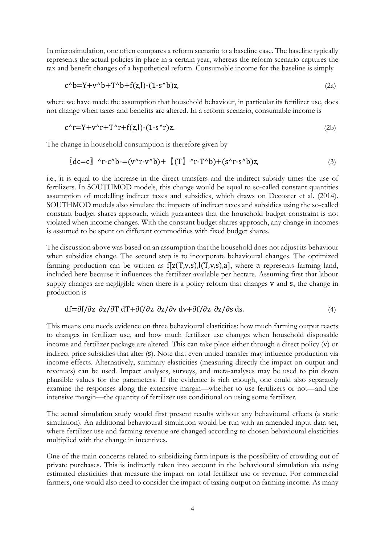In microsimulation, one often compares a reform scenario to a baseline case. The baseline typically represents the actual policies in place in a certain year, whereas the reform scenario captures the tax and benefit changes of a hypothetical reform. Consumable income for the baseline is simply

$$
c^{\Lambda}b = Y + v^{\Lambda}b + T^{\Lambda}b + f(z, l) - (1 - s^{\Lambda}b)z,
$$
\n(2a)

where we have made the assumption that household behaviour, in particular its fertilizer use, does not change when taxes and benefits are altered. In a reform scenario, consumable income is

$$
c^r = Y + v^r + T^r + f(z, I) - (1 - s^r)z.
$$
 (2b)

The change in household consumption is therefore given by

$$
\llbracket dc=c\rbrack \quad \wedge r\text{-}c \wedge b\text{-}=(v \wedge r\text{-}v \wedge b)+\llbracket(T\rrbracket \quad \wedge r\text{-}T \wedge b)+ (s \wedge r\text{-}s \wedge b)z,\tag{3}
$$

i.e., it is equal to the increase in the direct transfers and the indirect subsidy times the use of fertilizers. In SOUTHMOD models, this change would be equal to so-called constant quantities assumption of modelling indirect taxes and subsidies, which draws on Decoster et al. (2014). SOUTHMOD models also simulate the impacts of indirect taxes and subsidies using the so-called constant budget shares approach, which guarantees that the household budget constraint is not violated when income changes. With the constant budget shares approach, any change in incomes is assumed to be spent on different commodities with fixed budget shares.

The discussion above was based on an assumption that the household does not adjust its behaviour when subsidies change. The second step is to incorporate behavioural changes. The optimized farming production can be written as  $f[z(T,y,s),l(T,y,s),a]$ , where a represents farming land, included here because it influences the fertilizer available per hectare. Assuming first that labour supply changes are negligible when there is a policy reform that changes v and s, the change in production is

$$
df = \frac{\partial f}{\partial z} \frac{\partial z}{\partial T} dT + \frac{\partial f}{\partial z} \frac{\partial z}{\partial v} dv + \frac{\partial f}{\partial z} \frac{\partial z}{\partial s} ds.
$$
 (4)

This means one needs evidence on three behavioural elasticities: how much farming output reacts to changes in fertilizer use, and how much fertilizer use changes when household disposable income and fertilizer package are altered. This can take place either through a direct policy (v) or indirect price subsidies that alter (s). Note that even untied transfer may influence production via income effects. Alternatively, summary elasticities (measuring directly the impact on output and revenues) can be used. Impact analyses, surveys, and meta-analyses may be used to pin down plausible values for the parameters. If the evidence is rich enough, one could also separately examine the responses along the extensive margin—whether to use fertilizers or not—and the intensive margin—the quantity of fertilizer use conditional on using some fertilizer.

The actual simulation study would first present results without any behavioural effects (a static simulation). An additional behavioural simulation would be run with an amended input data set, where fertilizer use and farming revenue are changed according to chosen behavioural elasticities multiplied with the change in incentives.

One of the main concerns related to subsidizing farm inputs is the possibility of crowding out of private purchases. This is indirectly taken into account in the behavioural simulation via using estimated elasticities that measure the impact on total fertilizer use or revenue. For commercial farmers, one would also need to consider the impact of taxing output on farming income. As many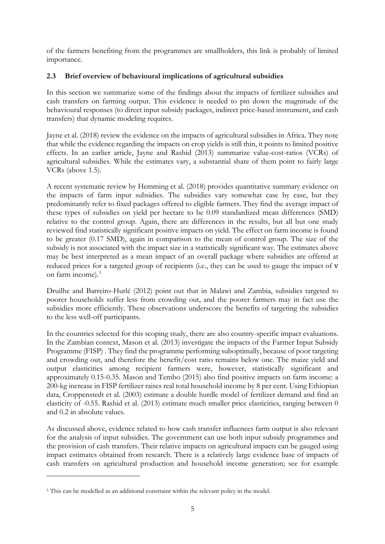of the farmers benefiting from the programmes are smallholders, this link is probably of limited importance.

## **2.3 Brief overview of behavioural implications of agricultural subsidies**

In this section we summarize some of the findings about the impacts of fertilizer subsidies and cash transfers on farming output. This evidence is needed to pin down the magnitude of the behavioural responses (to direct input subsidy packages, indirect price-based instrument, and cash transfers) that dynamic modeling requires.

Jayne et al. (2018) review the evidence on the impacts of agricultural subsidies in Africa. They note that while the evidence regarding the impacts on crop yields is still thin, it points to limited positive effects. In an earlier article, Jayne and Rashid (2013) summarize value-cost-ratios (VCRs) of agricultural subsidies. While the estimates vary, a substantial share of them point to fairly large VCRs (above 1.5).

A recent systematic review by Hemming et al. (2018) provides quantitative summary evidence on the impacts of farm input subsidies. The subsidies vary somewhat case by case, but they predominantly refer to fixed packages offered to eligible farmers. They find the average impact of these types of subsidies on yield per hectare to be 0.09 standardized mean differences (SMD) relative to the control group. Again, there are differences in the results, but all but one study reviewed find statistically significant positive impacts on yield. The effect on farm income is found to be greater (0.17 SMD), again in comparison to the mean of control group. The size of the subsidy is not associated with the impact size in a statistically significant way. The estimates above may be best interpreted as a mean impact of an overall package where subsidies are offered at reduced prices for a targeted group of recipients (i.e., they can be used to gauge the impact of v on farm income).<sup>[5](#page-7-0)</sup>

Druilhe and Barreiro-Hurlé (2012) point out that in Malawi and Zambia, subsidies targeted to poorer households suffer less from crowding out, and the poorer farmers may in fact use the subsidies more efficiently. These observations underscore the benefits of targeting the subsidies to the less well-off participants.

In the countries selected for this scoping study, there are also country-specific impact evaluations. In the Zambian context, Mason et al. (2013) investigate the impacts of the Farmer Input Subsidy Programme (FISP) . They find the programme performing suboptimally, because of poor targeting and crowding out, and therefore the benefit/cost ratio remains below one. The maize yield and output elasticities among recipient farmers were, however, statistically significant and approximately 0.15-0.35. Mason and Tembo (2015) also find positive impacts on farm income: a 200-kg increase in FISP fertilizer raises real total household income by 8 per cent. Using Ethiopian data, Croppenstedt et al. (2003) estimate a double hurdle model of fertilizer demand and find an elasticity of -0.55. Rashid et al. (2013) estimate much smaller price elasticities, ranging between 0 and 0.2 in absolute values.

As discussed above, evidence related to how cash transfer influences farm output is also relevant for the analysis of input subsidies. The government can use both input subsidy programmes and the provision of cash transfers. Their relative impacts on agricultural impacts can be gauged using impact estimates obtained from research. There is a relatively large evidence base of impacts of cash transfers on agricultural production and household income generation; see for example

<span id="page-7-0"></span><sup>5</sup> This can be modelled as an additional constraint within the relevant policy in the model.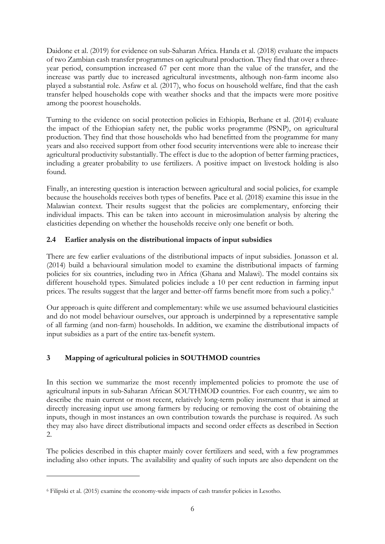Daidone et al. (2019) for evidence on sub-Saharan Africa. Handa et al. (2018) evaluate the impacts of two Zambian cash transfer programmes on agricultural production. They find that over a threeyear period, consumption increased 67 per cent more than the value of the transfer, and the increase was partly due to increased agricultural investments, although non-farm income also played a substantial role. Asfaw et al. (2017), who focus on household welfare, find that the cash transfer helped households cope with weather shocks and that the impacts were more positive among the poorest households.

Turning to the evidence on social protection policies in Ethiopia, Berhane et al. (2014) evaluate the impact of the Ethiopian safety net, the public works programme (PSNP), on agricultural production. They find that those households who had benefitted from the programme for many years and also received support from other food security interventions were able to increase their agricultural productivity substantially. The effect is due to the adoption of better farming practices, including a greater probability to use fertilizers. A positive impact on livestock holding is also found.

Finally, an interesting question is interaction between agricultural and social policies, for example because the households receives both types of benefits. Pace et al. (2018) examine this issue in the Malawian context. Their results suggest that the policies are complementary, enforcing their individual impacts. This can be taken into account in microsimulation analysis by altering the elasticities depending on whether the households receive only one benefit or both.

## **2.4 Earlier analysis on the distributional impacts of input subsidies**

There are few earlier evaluations of the distributional impacts of input subsidies. Jonasson et al. (2014) build a behavioural simulation model to examine the distributional impacts of farming policies for six countries, including two in Africa (Ghana and Malawi). The model contains six different household types. Simulated policies include a 10 per cent reduction in farming input prices. The results suggest that the larger and better-off farms benefit more from such a policy.<sup>[6](#page-8-0)</sup>

Our approach is quite different and complementary: while we use assumed behavioural elasticities and do not model behaviour ourselves, our approach is underpinned by a representative sample of all farming (and non-farm) households. In addition, we examine the distributional impacts of input subsidies as a part of the entire tax-benefit system.

# **3 Mapping of agricultural policies in SOUTHMOD countries**

In this section we summarize the most recently implemented policies to promote the use of agricultural inputs in sub-Saharan African SOUTHMOD countries. For each country, we aim to describe the main current or most recent, relatively long-term policy instrument that is aimed at directly increasing input use among farmers by reducing or removing the cost of obtaining the inputs, though in most instances an own contribution towards the purchase is required. As such they may also have direct distributional impacts and second order effects as described in Section 2.

The policies described in this chapter mainly cover fertilizers and seed, with a few programmes including also other inputs. The availability and quality of such inputs are also dependent on the

<span id="page-8-0"></span><sup>6</sup> Filipski et al. (2015) examine the economy-wide impacts of cash transfer policies in Lesotho.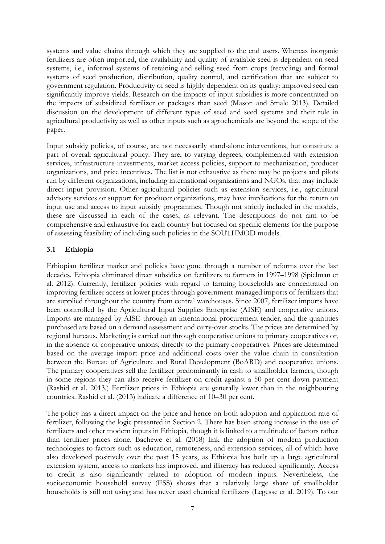systems and value chains through which they are supplied to the end users. Whereas inorganic fertilizers are often imported, the availability and quality of available seed is dependent on seed systems, i.e., informal systems of retaining and selling seed from crops (recycling) and formal systems of seed production, distribution, quality control, and certification that are subject to government regulation. Productivity of seed is highly dependent on its quality: improved seed can significantly improve yields. Research on the impacts of input subsidies is more concentrated on the impacts of subsidized fertilizer or packages than seed (Mason and Smale 2013). Detailed discussion on the development of different types of seed and seed systems and their role in agricultural productivity as well as other inputs such as agrochemicals are beyond the scope of the paper.

Input subsidy policies, of course, are not necessarily stand-alone interventions, but constitute a part of overall agricultural policy. They are, to varying degrees, complemented with extension services, infrastructure investments, market access policies, support to mechanization, producer organizations, and price incentives. The list is not exhaustive as there may be projects and pilots run by different organizations, including international organizations and NGOs, that may include direct input provision. Other agricultural policies such as extension services, i.e., agricultural advisory services or support for producer organizations, may have implications for the return on input use and access to input subsidy programmes. Though not strictly included in the models, these are discussed in each of the cases, as relevant. The descriptions do not aim to be comprehensive and exhaustive for each country but focused on specific elements for the purpose of assessing feasibility of including such policies in the SOUTHMOD models.

#### **3.1 Ethiopia**

Ethiopian fertilizer market and policies have gone through a number of reforms over the last decades. Ethiopia eliminated direct subsidies on fertilizers to farmers in 1997–1998 (Spielman et al. 2012). Currently, fertilizer policies with regard to farming households are concentrated on improving fertilizer access at lower prices through government-managed imports of fertilizers that are supplied throughout the country from central warehouses. Since 2007, fertilizer imports have been controlled by the Agricultural Input Supplies Enterprise (AISE) and cooperative unions. Imports are managed by AISE through an international procurement tender, and the quantities purchased are based on a demand assessment and carry-over stocks. The prices are determined by regional bureaus. Marketing is carried out through cooperative unions to primary cooperatives or, in the absence of cooperative unions, directly to the primary cooperatives. Prices are determined based on the average import price and additional costs over the value chain in consultation between the Bureau of Agriculture and Rural Development (BoARD) and cooperative unions. The primary cooperatives sell the fertilizer predominantly in cash to smallholder farmers, though in some regions they can also receive fertilizer on credit against a 50 per cent down payment (Rashid et al. 2013.) Fertilizer prices in Ethiopia are generally lower than in the neighbouring countries. Rashid et al. (2013) indicate a difference of 10–30 per cent.

The policy has a direct impact on the price and hence on both adoption and application rate of fertilizer, following the logic presented in Section 2. There has been strong increase in the use of fertilizers and other modern inputs in Ethiopia, though it is linked to a multitude of factors rather than fertilizer prices alone. Bachewe et al. (2018) link the adoption of modern production technologies to factors such as education, remoteness, and extension services, all of which have also developed positively over the past 15 years, as Ethiopia has built up a large agricultural extension system, access to markets has improved, and illiteracy has reduced significantly. Access to credit is also significantly related to adoption of modern inputs. Nevertheless, the socioeconomic household survey (ESS) shows that a relatively large share of smallholder households is still not using and has never used chemical fertilizers (Legesse et al. 2019). To our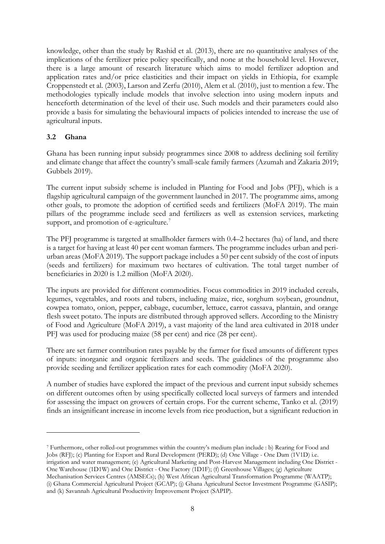knowledge, other than the study by Rashid et al. (2013), there are no quantitative analyses of the implications of the fertilizer price policy specifically, and none at the household level. However, there is a large amount of research literature which aims to model fertilizer adoption and application rates and/or price elasticities and their impact on yields in Ethiopia, for example Croppenstedt et al. (2003), Larson and Zerfu (2010), Alem et al. (2010), just to mention a few. The methodologies typically include models that involve selection into using modern inputs and henceforth determination of the level of their use. Such models and their parameters could also provide a basis for simulating the behavioural impacts of policies intended to increase the use of agricultural inputs.

## **3.2 Ghana**

Ghana has been running input subsidy programmes since 2008 to address declining soil fertility and climate change that affect the country's small-scale family farmers (Azumah and Zakaria 2019; Gubbels 2019).

The current input subsidy scheme is included in Planting for Food and Jobs (PFJ), which is a flagship agricultural campaign of the government launched in 2017. The programme aims, among other goals, to promote the adoption of certified seeds and fertilizers (MoFA 2019). The main pillars of the programme include seed and fertilizers as well as extension services, marketing support, and promotion of e-agriculture.<sup>[7](#page-10-0)</sup>

The PFJ programme is targeted at smallholder farmers with 0.4–2 hectares (ha) of land, and there is a target for having at least 40 per cent woman farmers. The programme includes urban and periurban areas (MoFA 2019). The support package includes a 50 per cent subsidy of the cost of inputs (seeds and fertilizers) for maximum two hectares of cultivation. The total target number of beneficiaries in 2020 is 1.2 million (MoFA 2020).

The inputs are provided for different commodities. Focus commodities in 2019 included cereals, legumes, vegetables, and roots and tubers, including maize, rice, sorghum soybean, groundnut, cowpea tomato, onion, pepper, cabbage, cucumber, lettuce, carrot cassava, plantain, and orange flesh sweet potato. The inputs are distributed through approved sellers. According to the Ministry of Food and Agriculture (MoFA 2019), a vast majority of the land area cultivated in 2018 under PFJ was used for producing maize (58 per cent) and rice (28 per cent).

There are set farmer contribution rates payable by the farmer for fixed amounts of different types of inputs: inorganic and organic fertilizers and seeds. The guidelines of the programme also provide seeding and fertilizer application rates for each commodity (MoFA 2020).

A number of studies have explored the impact of the previous and current input subsidy schemes on different outcomes often by using specifically collected local surveys of farmers and intended for assessing the impact on growers of certain crops. For the current scheme, Tanko et al. (2019) finds an insignificant increase in income levels from rice production, but a significant reduction in

<span id="page-10-0"></span><sup>7</sup> Furthermore, other rolled-out programmes within the country's medium plan include : b) Rearing for Food and Jobs (RFJ); (c) Planting for Export and Rural Development (PERD); (d) One Village - One Dam (1V1D) i.e. irrigation and water management; (e) Agricultural Marketing and Post-Harvest Management including One District - One Warehouse (1D1W) and One District - One Factory (1D1F); (f) Greenhouse Villages; (g) Agriculture Mechanisation Services Centres (AMSECs); (h) West African Agricultural Transformation Programme (WAATP);

<sup>(</sup>i) Ghana Commercial Agricultural Project (GCAP); (j) Ghana Agricultural Sector Investment Programme (GASIP); and (k) Savannah Agricultural Productivity Improvement Project (SAPIP).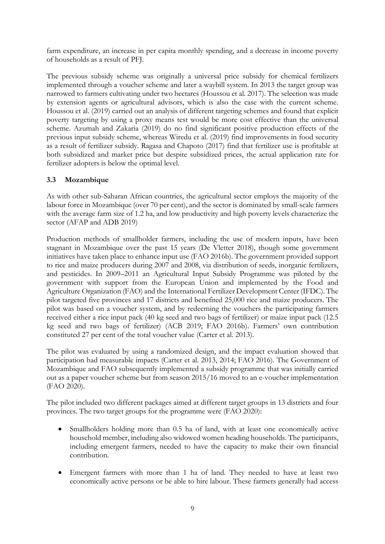farm expenditure, an increase in per capita monthly spending, and a decrease in income poverty of households as a result of PFJ.

The previous subsidy scheme was originally a universal price subsidy for chemical fertilizers implemented through a voucher scheme and later a waybill system. In 2013 the target group was narrowed to farmers cultivating under two hectares (Houssou et al. 2017). The selection was made by extension agents or agricultural advisors, which is also the case with the current scheme. Houssou et al. (2019) carried out an analysis of different targeting schemes and found that explicit poverty targeting by using a proxy means test would be more cost effective than the universal scheme. Azumah and Zakaria (2019) do no find significant positive production effects of the previous input subsidy scheme, whereas Wiredu et al. (2019) find improvements in food security as a result of fertilizer subsidy. Ragasa and Chapoto (2017) find that fertilizer use is profitable at both subsidized and market price but despite subsidized prices, the actual application rate for fertilizer adopters is below the optimal level.

## **3.3 Mozambique**

As with other sub-Saharan African countries, the agricultural sector employs the majority of the labour force in Mozambique (over 70 per cent), and the sector is dominated by small-scale farmers with the average farm size of 1.2 ha, and low productivity and high poverty levels characterize the sector (AFAP and ADB 2019)

Production methods of smallholder farmers, including the use of modern inputs, have been stagnant in Mozambique over the past 15 years (De Vletter 2018), though some government initiatives have taken place to enhance input use (FAO 2016b). The government provided support to rice and maize producers during 2007 and 2008, via distribution of seeds, inorganic fertilizers, and pesticides. In 2009–2011 an Agricultural Input Subsidy Programme was piloted by the government with support from the European Union and implemented by the Food and Agriculture Organization (FAO) and the International Fertilizer Development Center (IFDC). The pilot targeted five provinces and 17 districts and benefited 25,000 rice and maize producers. The pilot was based on a voucher system, and by redeeming the vouchers the participating farmers received either a rice input pack (40 kg seed and two bags of fertilizer) or maize input pack (12.5 kg seed and two bags of fertilizer) (ACB 2019; FAO 2016b). Farmers' own contribution constituted 27 per cent of the total voucher value (Carter et al. 2013).

The pilot was evaluated by using a randomized design, and the impact evaluation showed that participation had measurable impacts (Carter et al. 2013, 2014; FAO 2016). The Government of Mozambique and FAO subsequently implemented a subsidy programme that was initially carried out as a paper voucher scheme but from season 2015/16 moved to an e-voucher implementation (FAO 2020).

The pilot included two different packages aimed at different target groups in 13 districts and four provinces. The two target groups for the programme were (FAO 2020):

- Smallholders holding more than 0.5 ha of land, with at least one economically active household member, including also widowed women heading households. The participants, including emergent farmers, needed to have the capacity to make their own financial contribution.
- Emergent farmers with more than 1 ha of land. They needed to have at least two economically active persons or be able to hire labour. These farmers generally had access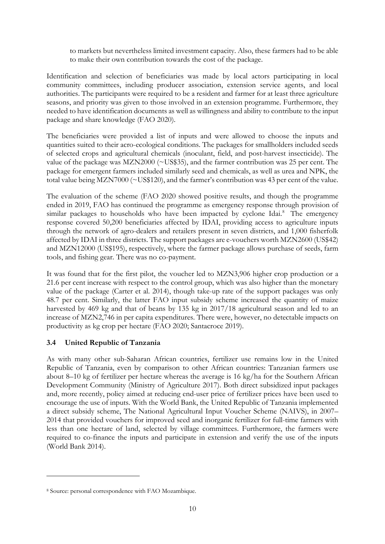to markets but nevertheless limited investment capacity. Also, these farmers had to be able to make their own contribution towards the cost of the package.

Identification and selection of beneficiaries was made by local actors participating in local community committees, including producer association, extension service agents, and local authorities. The participants were required to be a resident and farmer for at least three agriculture seasons, and priority was given to those involved in an extension programme. Furthermore, they needed to have identification documents as well as willingness and ability to contribute to the input package and share knowledge (FAO 2020).

The beneficiaries were provided a list of inputs and were allowed to choose the inputs and quantities suited to their acro-ecological conditions. The packages for smallholders included seeds of selected crops and agricultural chemicals (inoculant, field, and post-harvest insecticide). The value of the package was MZN2000 (~US\$35), and the farmer contribution was 25 per cent. The package for emergent farmers included similarly seed and chemicals, as well as urea and NPK, the total value being MZN7000 (~US\$120), and the farmer's contribution was 43 per cent of the value.

The evaluation of the scheme (FAO 2020 showed positive results, and though the programme ended in 2019, FAO has continued the programme as emergency response through provision of similar packages to households who have been impacted by cyclone Idai.<sup>[8](#page-12-0)</sup> The emergency response covered 50,200 beneficiaries affected by IDAI, providing access to agriculture inputs through the network of agro-dealers and retailers present in seven districts, and 1,000 fisherfolk affected by IDAI in three districts. The support packages are e-vouchers worth MZN2600 (US\$42) and MZN12000 (US\$195), respectively, where the farmer package allows purchase of seeds, farm tools, and fishing gear. There was no co-payment.

It was found that for the first pilot, the voucher led to MZN3,906 higher crop production or a 21.6 per cent increase with respect to the control group, which was also higher than the monetary value of the package (Carter et al. 2014), though take-up rate of the support packages was only 48.7 per cent. Similarly, the latter FAO input subsidy scheme increased the quantity of maize harvested by 469 kg and that of beans by 135 kg in 2017/18 agricultural season and led to an increase of MZN2,746 in per capita expenditures. There were, however, no detectable impacts on productivity as kg crop per hectare (FAO 2020; Santacroce 2019).

## **3.4 United Republic of Tanzania**

As with many other sub-Saharan African countries, fertilizer use remains low in the United Republic of Tanzania, even by comparison to other African countries: Tanzanian farmers use about 8–10 kg of fertilizer per hectare whereas the average is 16 kg/ha for the Southern African Development Community (Ministry of Agriculture 2017). Both direct subsidized input packages and, more recently, policy aimed at reducing end-user price of fertilizer prices have been used to encourage the use of inputs. With the World Bank, the United Republic of Tanzania implemented a direct subsidy scheme, The National Agricultural Input Voucher Scheme (NAIVS), in 2007– 2014 that provided vouchers for improved seed and inorganic fertilizer for full-time farmers with less than one hectare of land, selected by village committees. Furthermore, the farmers were required to co-finance the inputs and participate in extension and verify the use of the inputs (World Bank 2014).

<span id="page-12-0"></span><sup>8</sup> Source: personal correspondence with FAO Mozambique.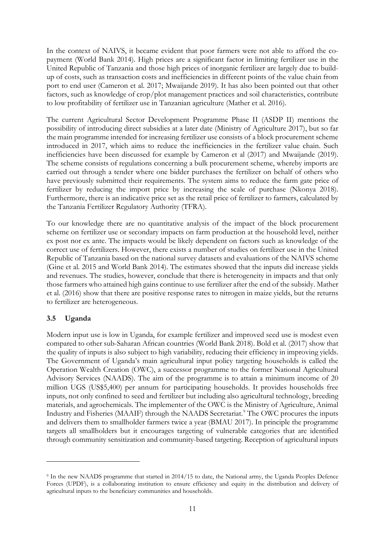In the context of NAIVS, it became evident that poor farmers were not able to afford the copayment (World Bank 2014). High prices are a significant factor in limiting fertilizer use in the United Republic of Tanzania and those high prices of inorganic fertilizer are largely due to buildup of costs, such as transaction costs and inefficiencies in different points of the value chain from port to end user (Cameron et al. 2017; Mwaijande 2019). It has also been pointed out that other factors, such as knowledge of crop/plot management practices and soil characteristics, contribute to low profitability of fertilizer use in Tanzanian agriculture (Mather et al. 2016).

The current Agricultural Sector Development Programme Phase II (ASDP II) mentions the possibility of introducing direct subsidies at a later date (Ministry of Agriculture 2017), but so far the main programme intended for increasing fertilizer use consists of a block procurement scheme introduced in 2017, which aims to reduce the inefficiencies in the fertilizer value chain. Such inefficiencies have been discussed for example by Cameron et al (2017) and Mwaijande (2019). The scheme consists of regulations concerning a bulk procurement scheme, whereby imports are carried out through a tender where one bidder purchases the fertilizer on behalf of others who have previously submitted their requirements. The system aims to reduce the farm gate price of fertilizer by reducing the import price by increasing the scale of purchase (Nkonya 2018). Furthermore, there is an indicative price set as the retail price of fertilizer to farmers, calculated by the Tanzania Fertilizer Regulatory Authority (TFRA).

To our knowledge there are no quantitative analysis of the impact of the block procurement scheme on fertilizer use or secondary impacts on farm production at the household level, neither ex post nor ex ante. The impacts would be likely dependent on factors such as knowledge of the correct use of fertilizers. However, there exists a number of studies on fertilizer use in the United Republic of Tanzania based on the national survey datasets and evaluations of the NAIVS scheme (Gine et al. 2015 and World Bank 2014). The estimates showed that the inputs did increase yields and revenues. The studies, however, conclude that there is heterogeneity in impacts and that only those farmers who attained high gains continue to use fertilizer after the end of the subsidy. Mather et al. (2016) show that there are positive response rates to nitrogen in maize yields, but the returns to fertilizer are heterogeneous.

## **3.5 Uganda**

Modern input use is low in Uganda, for example fertilizer and improved seed use is modest even compared to other sub-Saharan African countries (World Bank 2018). Bold et al. (2017) show that the quality of inputs is also subject to high variability, reducing their efficiency in improving yields. The Government of Uganda's main agricultural input policy targeting households is called the Operation Wealth Creation (OWC), a successor programme to the former National Agricultural Advisory Services (NAADS). The aim of the programme is to attain a minimum income of 20 million UGS (US\$5,400) per annum for participating households. It provides households free inputs, not only confined to seed and fertilizer but including also agricultural technology, breeding materials, and agrochemicals. The implementer of the OWC is the Ministry of Agriculture, Animal Industry and Fisheries (MAAIF) through the NAADS Secretariat.<sup>[9](#page-13-0)</sup> The OWC procures the inputs and delivers them to smallholder farmers twice a year (BMAU 2017). In principle the programme targets all smallholders but it encourages targeting of vulnerable categories that are identified through community sensitization and community-based targeting. Reception of agricultural inputs

<span id="page-13-0"></span><sup>9</sup> In the new NAADS programme that started in 2014/15 to date, the National army, the Uganda Peoples Defence Forces (UPDF), is a collaborating institution to ensure efficiency and equity in the distribution and delivery of agricultural inputs to the beneficiary communities and households.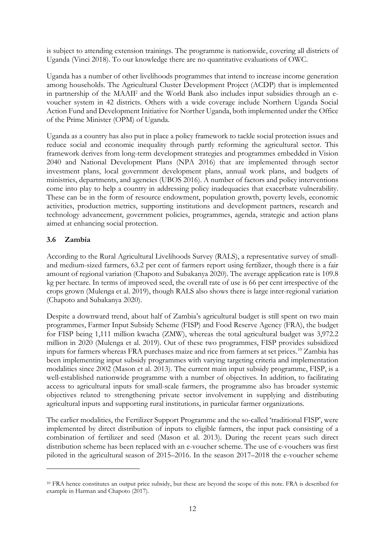is subject to attending extension trainings. The programme is nationwide, covering all districts of Uganda (Vinci 2018). To our knowledge there are no quantitative evaluations of OWC.

Uganda has a number of other livelihoods programmes that intend to increase income generation among households. The Agricultural Cluster Development Project (ACDP) that is implemented in partnership of the MAAIF and the World Bank also includes input subsidies through an evoucher system in 42 districts. Others with a wide coverage include Northern Uganda Social Action Fund and Development Initiative for Norther Uganda, both implemented under the Office of the Prime Minister (OPM) of Uganda.

Uganda as a country has also put in place a policy framework to tackle social protection issues and reduce social and economic inequality through partly reforming the agricultural sector. This framework derives from long-term development strategies and programmes embedded in Vision 2040 and National Development Plans (NPA 2016) that are implemented through sector investment plans, local government development plans, annual work plans, and budgets of ministries, departments, and agencies (UBOS 2016). A number of factors and policy interventions come into play to help a country in addressing policy inadequacies that exacerbate vulnerability. These can be in the form of resource endowment, population growth, poverty levels, economic activities, production metrics, supporting institutions and development partners, research and technology advancement, government policies, programmes, agenda, strategic and action plans aimed at enhancing social protection.

## **3.6 Zambia**

According to the Rural Agricultural Livelihoods Survey (RALS), a representative survey of smalland medium-sized farmers, 63.2 per cent of farmers report using fertilizer, though there is a fair amount of regional variation (Chapoto and Subakanya 2020). The average application rate is 109.8 kg per hectare. In terms of improved seed, the overall rate of use is 66 per cent irrespective of the crops grown (Mulenga et al. 2019), though RALS also shows there is large inter-regional variation (Chapoto and Subakanya 2020).

Despite a downward trend, about half of Zambia's agricultural budget is still spent on two main programmes, Farmer Input Subsidy Scheme (FISP) and Food Reserve Agency (FRA), the budget for FISP being 1,111 million kwacha (ZMW), whereas the total agricultural budget was 3,972.2 million in 2020 (Mulenga et al. 2019). Out of these two programmes, FISP provides subsidized inputs for farmers whereas FRA purchases maize and rice from farmers at set prices.[10](#page-14-0) Zambia has been implementing input subsidy programmes with varying targeting criteria and implementation modalities since 2002 (Mason et al. 2013). The current main input subsidy programme, FISP, is a well-established nationwide programme with a number of objectives. In addition, to facilitating access to agricultural inputs for small-scale farmers, the programme also has broader systemic objectives related to strengthening private sector involvement in supplying and distributing agricultural inputs and supporting rural institutions, in particular farmer organizations.

The earlier modalities, the Fertilizer Support Programme and the so-called 'traditional FISP', were implemented by direct distribution of inputs to eligible farmers, the input pack consisting of a combination of fertilizer and seed (Mason et al. 2013). During the recent years such direct distribution scheme has been replaced with an e-voucher scheme. The use of e-vouchers was first piloted in the agricultural season of 2015–2016. In the season 2017–2018 the e-voucher scheme

<span id="page-14-0"></span><sup>10</sup> FRA hence constitutes an output price subsidy, but these are beyond the scope of this note. FRA is described for example in Harman and Chapoto (2017).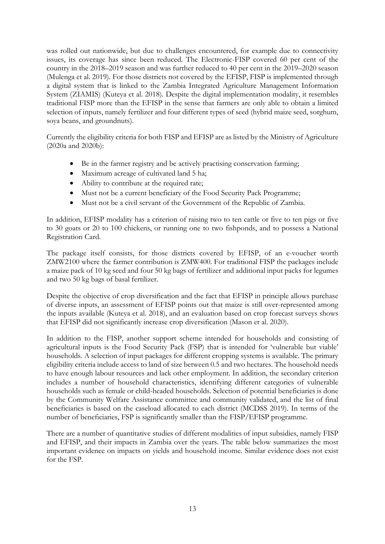was rolled out nationwide, but due to challenges encountered, for example due to connectivity issues, its coverage has since been reduced. The Electronic-FISP covered 60 per cent of the country in the 2018–2019 season and was further reduced to 40 per cent in the 2019–2020 season (Mulenga et al. 2019). For those districts not covered by the EFISP, FISP is implemented through a digital system that is linked to the Zambia Integrated Agriculture Management Information System (ZIAMIS) (Kuteya et al. 2018). Despite the digital implementation modality, it resembles traditional FISP more than the EFISP in the sense that farmers are only able to obtain a limited selection of inputs, namely fertilizer and four different types of seed (hybrid maize seed, sorghum, soya beans, and groundnuts).

Currently the eligibility criteria for both FISP and EFISP are as listed by the Ministry of Agriculture (2020a and 2020b):

- Be in the farmer registry and be actively practising conservation farming;
- Maximum acreage of cultivated land 5 ha;
- Ability to contribute at the required rate;
- Must not be a current beneficiary of the Food Security Pack Programme;
- Must not be a civil servant of the Government of the Republic of Zambia.

In addition, EFISP modality has a criterion of raising two to ten cattle or five to ten pigs or five to 30 goats or 20 to 100 chickens, or running one to two fishponds, and to possess a National Registration Card.

The package itself consists, for those districts covered by EFISP, of an e-voucher worth ZMW2100 where the farmer contribution is ZMW400. For traditional FISP the packages include a maize pack of 10 kg seed and four 50 kg bags of fertilizer and additional input packs for legumes and two 50 kg bags of basal fertilizer.

Despite the objective of crop diversification and the fact that EFISP in principle allows purchase of diverse inputs, an assessment of EFISP points out that maize is still over-represented among the inputs available (Kuteya et al. 2018), and an evaluation based on crop forecast surveys shows that EFISP did not significantly increase crop diversification (Mason et al. 2020).

In addition to the FISP, another support scheme intended for households and consisting of agricultural inputs is the Food Security Pack (FSP) that is intended for 'vulnerable but viable' households. A selection of input packages for different cropping systems is available. The primary eligibility criteria include access to land of size between 0.5 and two hectares. The household needs to have enough labour resources and lack other employment. In addition, the secondary criterion includes a number of household characteristics, identifying different categories of vulnerable households such as female or child-headed households. Selection of potential beneficiaries is done by the Community Welfare Assistance committee and community validated, and the list of final beneficiaries is based on the caseload allocated to each district (MCDSS 2019). In terms of the number of beneficiaries, FSP is significantly smaller than the FISP/EFISP programme.

There are a number of quantitative studies of different modalities of input subsidies, namely FISP and EFISP, and their impacts in Zambia over the years. The table below summarizes the most important evidence on impacts on yields and household income. Similar evidence does not exist for the FSP.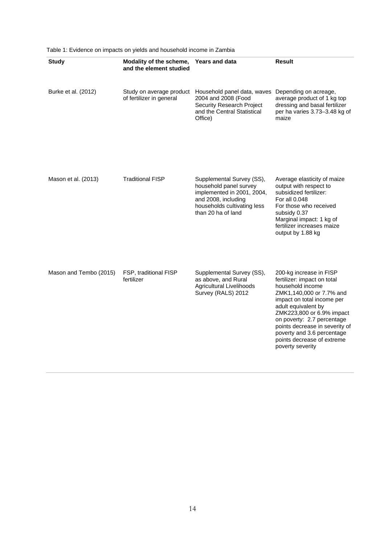| <b>Study</b>           | Modality of the scheme,<br>and the element studied   | <b>Years and data</b>                                                                                                                                         | <b>Result</b>                                                                                                                                                                                                                                                                                                                            |
|------------------------|------------------------------------------------------|---------------------------------------------------------------------------------------------------------------------------------------------------------------|------------------------------------------------------------------------------------------------------------------------------------------------------------------------------------------------------------------------------------------------------------------------------------------------------------------------------------------|
| Burke et al. (2012)    | Study on average product<br>of fertilizer in general | Household panel data, waves<br>2004 and 2008 (Food<br><b>Security Research Project</b><br>and the Central Statistical<br>Office)                              | Depending on acreage,<br>average product of 1 kg top<br>dressing and basal fertilizer<br>per ha varies 3.73-3.48 kg of<br>maize                                                                                                                                                                                                          |
| Mason et al. (2013)    | <b>Traditional FISP</b>                              | Supplemental Survey (SS),<br>household panel survey<br>implemented in 2001, 2004,<br>and 2008, including<br>households cultivating less<br>than 20 ha of land | Average elasticity of maize<br>output with respect to<br>subsidized fertilizer:<br>For all 0.048<br>For those who received<br>subsidy 0.37<br>Marginal impact: 1 kg of<br>fertilizer increases maize<br>output by 1.88 kg                                                                                                                |
| Mason and Tembo (2015) | FSP, traditional FISP<br>fertilizer                  | Supplemental Survey (SS),<br>as above, and Rural<br>Agricultural Livelihoods<br>Survey (RALS) 2012                                                            | 200-kg increase in FISP<br>fertilizer: impact on total<br>household income<br>ZMK1,140,000 or 7.7% and<br>impact on total income per<br>adult equivalent by<br>ZMK223,800 or 6.9% impact<br>on poverty: 2.7 percentage<br>points decrease in severity of<br>poverty and 3.6 percentage<br>points decrease of extreme<br>poverty severity |

Table 1: Evidence on impacts on yields and household income in Zambia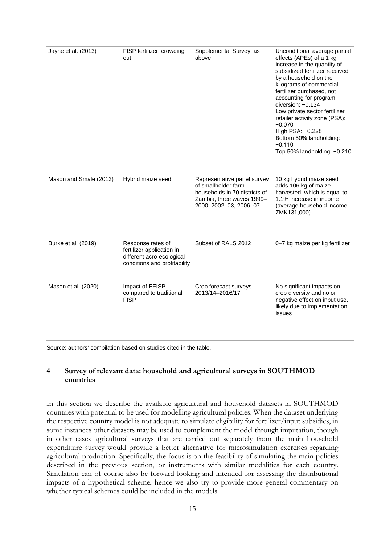| Jayne et al. (2013)    | FISP fertilizer, crowding<br>out                                                                            | Supplemental Survey, as<br>above                                                                                                           | Unconditional average partial<br>effects (APEs) of a 1 kg<br>increase in the quantity of<br>subsidized fertilizer received<br>by a household on the<br>kilograms of commercial<br>fertilizer purchased, not<br>accounting for program<br>diversion: -0.134<br>Low private sector fertilizer<br>retailer activity zone (PSA):<br>$-0.070$<br>High PSA: -0.228<br>Bottom 50% landholding:<br>$-0.110$<br>Top 50% landholding: -0.210 |
|------------------------|-------------------------------------------------------------------------------------------------------------|--------------------------------------------------------------------------------------------------------------------------------------------|------------------------------------------------------------------------------------------------------------------------------------------------------------------------------------------------------------------------------------------------------------------------------------------------------------------------------------------------------------------------------------------------------------------------------------|
| Mason and Smale (2013) | Hybrid maize seed                                                                                           | Representative panel survey<br>of smallholder farm<br>households in 70 districts of<br>Zambia, three waves 1999-<br>2000, 2002-03, 2006-07 | 10 kg hybrid maize seed<br>adds 106 kg of maize<br>harvested, which is equal to<br>1.1% increase in income<br>(average household income<br>ZMK131,000)                                                                                                                                                                                                                                                                             |
| Burke et al. (2019)    | Response rates of<br>fertilizer application in<br>different acro-ecological<br>conditions and profitability | Subset of RALS 2012                                                                                                                        | 0-7 kg maize per kg fertilizer                                                                                                                                                                                                                                                                                                                                                                                                     |
| Mason et al. (2020)    | Impact of EFISP<br>compared to traditional<br><b>FISP</b>                                                   | Crop forecast surveys<br>2013/14-2016/17                                                                                                   | No significant impacts on<br>crop diversity and no or<br>negative effect on input use,<br>likely due to implementation<br>issues                                                                                                                                                                                                                                                                                                   |

Source: authors' compilation based on studies cited in the table.

#### **4 Survey of relevant data: household and agricultural surveys in SOUTHMOD countries**

In this section we describe the available agricultural and household datasets in SOUTHMOD countries with potential to be used for modelling agricultural policies. When the dataset underlying the respective country model is not adequate to simulate eligibility for fertilizer/input subsidies, in some instances other datasets may be used to complement the model through imputation, though in other cases agricultural surveys that are carried out separately from the main household expenditure survey would provide a better alternative for microsimulation exercises regarding agricultural production. Specifically, the focus is on the feasibility of simulating the main policies described in the previous section, or instruments with similar modalities for each country. Simulation can of course also be forward looking and intended for assessing the distributional impacts of a hypothetical scheme, hence we also try to provide more general commentary on whether typical schemes could be included in the models.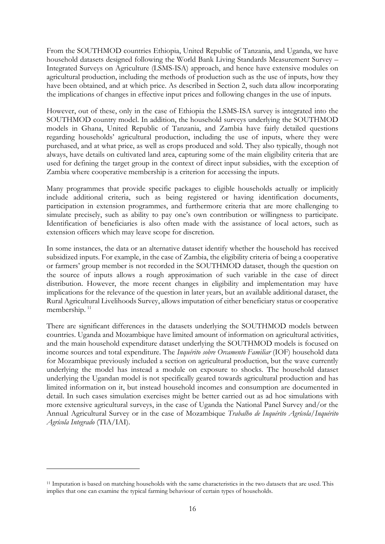From the SOUTHMOD countries Ethiopia, United Republic of Tanzania, and Uganda, we have household datasets designed following the World Bank Living Standards Measurement Survey – Integrated Surveys on Agriculture (LSMS-ISA) approach, and hence have extensive modules on agricultural production, including the methods of production such as the use of inputs, how they have been obtained, and at which price. As described in Section 2, such data allow incorporating the implications of changes in effective input prices and following changes in the use of inputs.

However, out of these, only in the case of Ethiopia the LSMS-ISA survey is integrated into the SOUTHMOD country model. In addition, the household surveys underlying the SOUTHMOD models in Ghana, United Republic of Tanzania, and Zambia have fairly detailed questions regarding households' agricultural production, including the use of inputs, where they were purchased, and at what price, as well as crops produced and sold. They also typically, though not always, have details on cultivated land area, capturing some of the main eligibility criteria that are used for defining the target group in the context of direct input subsidies, with the exception of Zambia where cooperative membership is a criterion for accessing the inputs.

Many programmes that provide specific packages to eligible households actually or implicitly include additional criteria, such as being registered or having identification documents, participation in extension programmes, and furthermore criteria that are more challenging to simulate precisely, such as ability to pay one's own contribution or willingness to participate. Identification of beneficiaries is also often made with the assistance of local actors, such as extension officers which may leave scope for discretion.

In some instances, the data or an alternative dataset identify whether the household has received subsidized inputs. For example, in the case of Zambia, the eligibility criteria of being a cooperative or farmers' group member is not recorded in the SOUTHMOD dataset, though the question on the source of inputs allows a rough approximation of such variable in the case of direct distribution. However, the more recent changes in eligibility and implementation may have implications for the relevance of the question in later years, but an available additional dataset, the Rural Agricultural Livelihoods Survey, allows imputation of either beneficiary status or cooperative membership.<sup>[11](#page-18-0)</sup>

There are significant differences in the datasets underlying the SOUTHMOD models between countries. Uganda and Mozambique have limited amount of information on agricultural activities, and the main household expenditure dataset underlying the SOUTHMOD models is focused on income sources and total expenditure. The *Inquérito sobre Orcamento Familiar* (IOF) household data for Mozambique previously included a section on agricultural production, but the wave currently underlying the model has instead a module on exposure to shocks. The household dataset underlying the Ugandan model is not specifically geared towards agricultural production and has limited information on it, but instead household incomes and consumption are documented in detail. In such cases simulation exercises might be better carried out as ad hoc simulations with more extensive agricultural surveys, in the case of Uganda the National Panel Survey and/or the Annual Agricultural Survey or in the case of Mozambique *Trabalho de Inquérito Agrícola/Inquérito Agrícola Integrado* (TIA/IAI).

<span id="page-18-0"></span><sup>&</sup>lt;sup>11</sup> Imputation is based on matching households with the same characteristics in the two datasets that are used. This implies that one can examine the typical farming behaviour of certain types of households.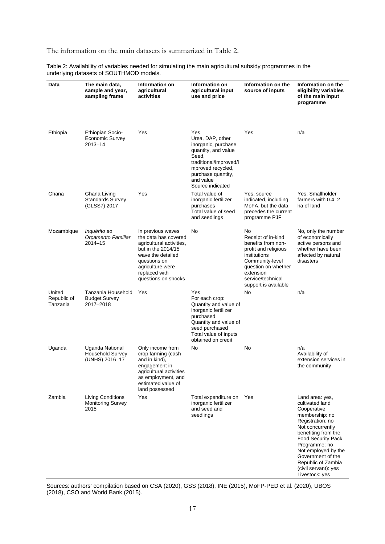#### The information on the main datasets is summarized in Table 2.

Table 2: Availability of variables needed for simulating the main agricultural subsidy programmes in the underlying datasets of SOUTHMOD models.

| Data                              | The main data,<br>sample and year,<br>sampling frame         | Information on<br>agricultural<br>activities                                                                                                                                                 | Information on<br>agricultural input<br>use and price                                                                                                                                | Information on the<br>source of inputs                                                                                                                                                     | Information on the<br>eligibility variables<br>of the main input<br>programme                                                                                                                                                                                                                |
|-----------------------------------|--------------------------------------------------------------|----------------------------------------------------------------------------------------------------------------------------------------------------------------------------------------------|--------------------------------------------------------------------------------------------------------------------------------------------------------------------------------------|--------------------------------------------------------------------------------------------------------------------------------------------------------------------------------------------|----------------------------------------------------------------------------------------------------------------------------------------------------------------------------------------------------------------------------------------------------------------------------------------------|
| Ethiopia                          | Ethiopian Socio-<br>Economic Survey<br>$2013 - 14$           | Yes                                                                                                                                                                                          | Yes<br>Urea, DAP, other<br>inorganic, purchase<br>quantity, and value<br>Seed,<br>traditional/improved/i<br>mproved recycled,<br>purchase quantity,<br>and value<br>Source indicated | Yes                                                                                                                                                                                        | n/a                                                                                                                                                                                                                                                                                          |
| Ghana                             | Ghana Living<br><b>Standards Survey</b><br>(GLSS7) 2017      | Yes                                                                                                                                                                                          | Total value of<br>inorganic fertilizer<br>purchases<br>Total value of seed<br>and seedlings                                                                                          | Yes, source<br>indicated, including<br>MoFA, but the data<br>precedes the current<br>programme PJF                                                                                         | Yes, Smallholder<br>farmers with 0.4-2<br>ha of land                                                                                                                                                                                                                                         |
| Mozambique                        | Inquérito ao<br>Orçamento Familiar<br>$2014 - 15$            | In previous waves<br>the data has covered<br>agricultural activities,<br>but in the 2014/15<br>wave the detailed<br>questions on<br>agriculture were<br>replaced with<br>questions on shocks | No                                                                                                                                                                                   | No<br>Receipt of in-kind<br>benefits from non-<br>profit and religious<br>institutions<br>Community-level<br>question on whether<br>extension<br>service/technical<br>support is available | No, only the number<br>of economically<br>active persons and<br>whether have been<br>affected by natural<br>disasters                                                                                                                                                                        |
| United<br>Republic of<br>Tanzania | Tanzania Household<br><b>Budget Survey</b><br>2017-2018      | Yes                                                                                                                                                                                          | Yes<br>For each crop:<br>Quantity and value of<br>inorganic fertilizer<br>purchased<br>Quantity and value of<br>seed purchased<br>Total value of inputs<br>obtained on credit        | No                                                                                                                                                                                         | n/a                                                                                                                                                                                                                                                                                          |
| Uganda                            | Uganda National<br><b>Household Survey</b><br>(UNHS) 2016-17 | Only income from<br>crop farming (cash<br>and in kind),<br>engagement in<br>agricultural activities<br>as employment, and<br>estimated value of<br>land possessed                            | No                                                                                                                                                                                   | No                                                                                                                                                                                         | n/a<br>Availability of<br>extension services in<br>the community                                                                                                                                                                                                                             |
| Zambia                            | <b>Living Conditions</b><br><b>Monitoring Survey</b><br>2015 | Yes                                                                                                                                                                                          | Total expenditure on<br>inorganic fertilizer<br>and seed and<br>seedlings                                                                                                            | Yes                                                                                                                                                                                        | Land area: yes,<br>cultivated land<br>Cooperative<br>membership: no<br>Registration: no<br>Not concurrently<br>benefiting from the<br><b>Food Security Pack</b><br>Programme: no<br>Not employed by the<br>Government of the<br>Republic of Zambia<br>(civil servant): yes<br>Livestock: yes |

Sources: authors' compilation based on CSA (2020), GSS (2018), INE (2015), MoFP-PED et al. (2020), UBOS (2018), CSO and World Bank (2015).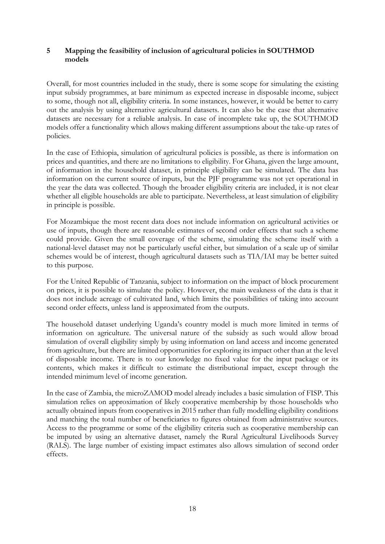#### **5 Mapping the feasibility of inclusion of agricultural policies in SOUTHMOD models**

Overall, for most countries included in the study, there is some scope for simulating the existing input subsidy programmes, at bare minimum as expected increase in disposable income, subject to some, though not all, eligibility criteria. In some instances, however, it would be better to carry out the analysis by using alternative agricultural datasets. It can also be the case that alternative datasets are necessary for a reliable analysis. In case of incomplete take up, the SOUTHMOD models offer a functionality which allows making different assumptions about the take-up rates of policies.

In the case of Ethiopia, simulation of agricultural policies is possible, as there is information on prices and quantities, and there are no limitations to eligibility. For Ghana, given the large amount, of information in the household dataset, in principle eligibility can be simulated. The data has information on the current source of inputs, but the PJF programme was not yet operational in the year the data was collected. Though the broader eligibility criteria are included, it is not clear whether all eligible households are able to participate. Nevertheless, at least simulation of eligibility in principle is possible.

For Mozambique the most recent data does not include information on agricultural activities or use of inputs, though there are reasonable estimates of second order effects that such a scheme could provide. Given the small coverage of the scheme, simulating the scheme itself with a national-level dataset may not be particularly useful either, but simulation of a scale up of similar schemes would be of interest, though agricultural datasets such as TIA/IAI may be better suited to this purpose.

For the United Republic of Tanzania, subject to information on the impact of block procurement on prices, it is possible to simulate the policy. However, the main weakness of the data is that it does not include acreage of cultivated land, which limits the possibilities of taking into account second order effects, unless land is approximated from the outputs.

The household dataset underlying Uganda's country model is much more limited in terms of information on agriculture. The universal nature of the subsidy as such would allow broad simulation of overall eligibility simply by using information on land access and income generated from agriculture, but there are limited opportunities for exploring its impact other than at the level of disposable income. There is to our knowledge no fixed value for the input package or its contents, which makes it difficult to estimate the distributional impact, except through the intended minimum level of income generation.

In the case of Zambia, the microZAMOD model already includes a basic simulation of FISP. This simulation relies on approximation of likely cooperative membership by those households who actually obtained inputs from cooperatives in 2015 rather than fully modelling eligibility conditions and matching the total number of beneficiaries to figures obtained from administrative sources. Access to the programme or some of the eligibility criteria such as cooperative membership can be imputed by using an alternative dataset, namely the Rural Agricultural Livelihoods Survey (RALS). The large number of existing impact estimates also allows simulation of second order effects.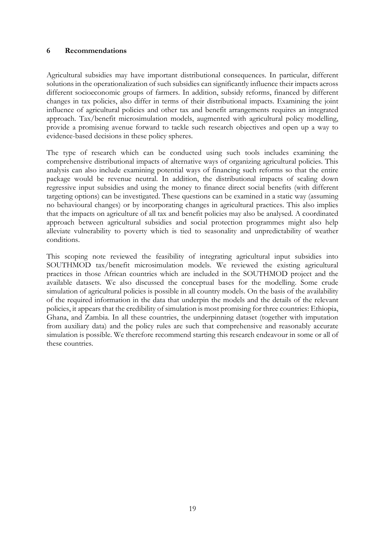#### **6 Recommendations**

Agricultural subsidies may have important distributional consequences. In particular, different solutions in the operationalization of such subsidies can significantly influence their impacts across different socioeconomic groups of farmers. In addition, subsidy reforms, financed by different changes in tax policies, also differ in terms of their distributional impacts. Examining the joint influence of agricultural policies and other tax and benefit arrangements requires an integrated approach. Tax/benefit microsimulation models, augmented with agricultural policy modelling, provide a promising avenue forward to tackle such research objectives and open up a way to evidence-based decisions in these policy spheres.

The type of research which can be conducted using such tools includes examining the comprehensive distributional impacts of alternative ways of organizing agricultural policies. This analysis can also include examining potential ways of financing such reforms so that the entire package would be revenue neutral. In addition, the distributional impacts of scaling down regressive input subsidies and using the money to finance direct social benefits (with different targeting options) can be investigated. These questions can be examined in a static way (assuming no behavioural changes) or by incorporating changes in agricultural practices. This also implies that the impacts on agriculture of all tax and benefit policies may also be analysed. A coordinated approach between agricultural subsidies and social protection programmes might also help alleviate vulnerability to poverty which is tied to seasonality and unpredictability of weather conditions.

This scoping note reviewed the feasibility of integrating agricultural input subsidies into SOUTHMOD tax/benefit microsimulation models. We reviewed the existing agricultural practices in those African countries which are included in the SOUTHMOD project and the available datasets. We also discussed the conceptual bases for the modelling. Some crude simulation of agricultural policies is possible in all country models. On the basis of the availability of the required information in the data that underpin the models and the details of the relevant policies, it appears that the credibility of simulation is most promising for three countries: Ethiopia, Ghana, and Zambia. In all these countries, the underpinning dataset (together with imputation from auxiliary data) and the policy rules are such that comprehensive and reasonably accurate simulation is possible. We therefore recommend starting this research endeavour in some or all of these countries.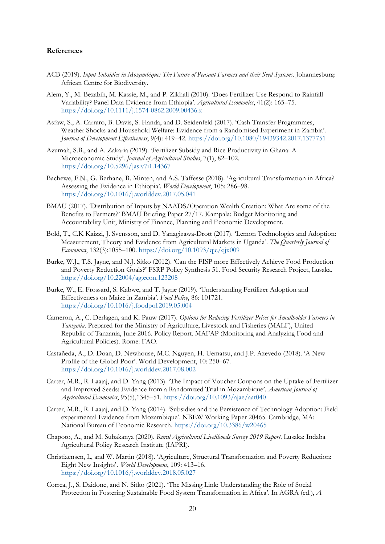#### **References**

- ACB (2019). *Input Subsidies in Mozambique: The Future of Peasant Farmers and their Seed Systems*. Johannesburg: African Centre for Biodiversity.
- Alem, Y., M. Bezabih, M. Kassie, M., and P. Zikhali (2010). 'Does Fertilizer Use Respond to Rainfall Variability? Panel Data Evidence from Ethiopia'. *Agricultural Economics*, 41(2): 165–75. <https://doi.org/10.1111/j.1574-0862.2009.00436.x>
- Asfaw, S., A. Carraro, B. Davis, S. Handa, and D. Seidenfeld (2017). 'Cash Transfer Programmes, Weather Shocks and Household Welfare: Evidence from a Randomised Experiment in Zambia'. *Journal of Development Effectiveness*, 9(4): 419–42. <https://doi.org/10.1080/19439342.2017.1377751>
- Azumah, S.B., and A. Zakaria (2019). 'Fertilizer Subsidy and Rice Productivity in Ghana: A Microeconomic Study'. *Journal of Agricultural Studies*, 7(1), 82–102. <https://doi.org/10.5296/jas.v7i1.14367>
- Bachewe, F.N., G. Berhane, B. Minten, and A.S. Taffesse (2018). 'Agricultural Transformation in Africa? Assessing the Evidence in Ethiopia'. *World Development*, 105: 286–98. <https://doi.org/10.1016/j.worlddev.2017.05.041>
- BMAU (2017). 'Distribution of Inputs by NAADS/Operation Wealth Creation: What Are some of the Benefits to Farmers?' BMAU Briefing Paper 27/17. Kampala: Budget Monitoring and Accountability Unit, Ministry of Finance, Planning and Economic Development.
- Bold, T., C.K Kaizzi, J. Svensson, and D. Yanagizawa-Drott (2017). 'Lemon Technologies and Adoption: Measurement, Theory and Evidence from Agricultural Markets in Uganda'. *The Quarterly Journal of Economics*, 132(3):1055–100.<https://doi.org/10.1093/qje/qjx009>
- Burke, W.J., T.S. Jayne, and N.J. Sitko (2012). 'Can the FISP more Effectively Achieve Food Production and Poverty Reduction Goals?' FSRP Policy Synthesis 51. Food Security Research Project, Lusaka. <https://doi.org/10.22004/ag.econ.123208>
- Burke, W., E. Frossard, S. Kabwe, and T. Jayne (2019). 'Understanding Fertilizer Adoption and Effectiveness on Maize in Zambia'. *Food Policy*, 86: 101721. <https://doi.org/10.1016/j.foodpol.2019.05.004>
- Cameron, A., C. Derlagen, and K. Pauw (2017). *Options for Reducing Fertilizer Prices for Smallholder Farmers in Tanzania*. Prepared for the Ministry of Agriculture, Livestock and Fisheries (MALF), United Republic of Tanzania, June 2016. Policy Report. MAFAP (Monitoring and Analyzing Food and Agricultural Policies). Rome: FAO.
- Castañeda, A., D. Doan, D. Newhouse, M.C. Nguyen, H. Uematsu, and J.P. Azevedo (2018). 'A New Profile of the Global Poor'. World Development, 10: 250–67. <https://doi.org/10.1016/j.worlddev.2017.08.002>
- Carter, M.R., R. Laajaj, and D. Yang (2013). 'The Impact of Voucher Coupons on the Uptake of Fertilizer and Improved Seeds: Evidence from a Randomized Trial in Mozambique'. *American Journal of Agricultural Economics*, 95(5),1345–51.<https://doi.org/10.1093/ajae/aat040>
- Carter, M.R., R. Laajaj, and D. Yang (2014). 'Subsidies and the Persistence of Technology Adoption: Field experimental Evidence from Mozambique'. NBEW Working Paper 20465. Cambridge, MA: National Bureau of Economic Research.<https://doi.org/10.3386/w20465>
- Chapoto, A., and M. Subakanya (2020). *Rural Agricultural Livelihoods Survey 2019 Report*. Lusaka: Indaba Agricultural Policy Research Institute (IAPRI).
- Christiaensen, L, and W. Martin (2018). 'Agriculture, Structural Transformation and Poverty Reduction: Eight New Insights'. *World Development*, 109: 413–16. <https://doi.org/10.1016/j.worlddev.2018.05.027>
- Correa, J., S. Daidone, and N. Sitko (2021). 'The Missing Link: Understanding the Role of Social Protection in Fostering Sustainable Food System Transformation in Africa'. In AGRA (ed.), *A*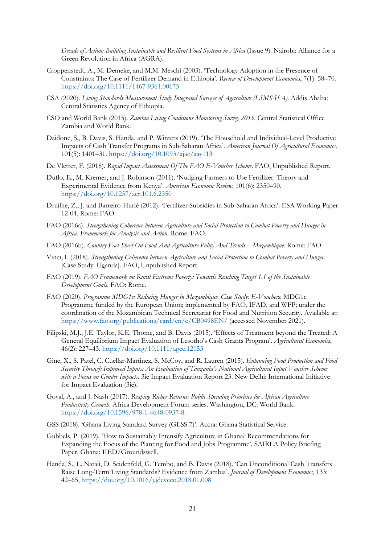*Decade of Action: Building Sustainable and Resilient Food Systems in Africa* (Issue 9). Nairobi: Alliance for a Green Revolution in Africa (AGRA).

- Croppenstedt, A., M. Demeke, and M.M. Meschi (2003). 'Technology Adoption in the Presence of Constraints: The Case of Fertilizer Demand in Ethiopia'. *Review of Development Economics*, 7(1): 58–70. <https://doi.org/10.1111/1467-9361.00175>
- CSA (2020). *Living Standards Measurement Study Integrated Surveys of Agriculture (LSMS-ISA)*. Addis Ababa: Central Statistics Agency of Ethiopia.
- CSO and World Bank (2015). *Zambia Living Conditions Monitoring Survey 2015*. Central Statistical Office Zambia and World Bank.
- Daidone, S., B. Davis, S. Handa, and P. Winters (2019). 'The Household and Individual-Level Productive Impacts of Cash Transfer Programs in Sub-Saharan Africa'. *American Journal Of Agricultural Economics*, 101(5): 1401–31.<https://doi.org/10.1093/ajae/aay113>
- De Vletter, F. (2018). *Rapid Impact Assessment Of The FAO E-Voucher Scheme*. FAO, Unpublished Report.
- Duflo, E., M. Kremer, and J. Robinson (2011). 'Nudging Farmers to Use Fertilizer: Theory and Experimental Evidence from Kenya'. *American Economic Review*, 101(6): 2350–90. <https://doi.org/10.1257/aer.101.6.2350>
- Druilhe, Z., J. and Barreiro-Hurlé (2012). 'Fertilizer Subsidies in Sub-Saharan Africa'. ESA Working Paper 12-04. Rome: FAO.
- FAO (2016a). *Strengthening Coherence between Agriculture and Social Protection to Combat Poverty and Hunger in Africa: Framework for Analysis and Action*. Rome: FAO.
- FAO (2016b). *Country Fact Sheet On Food And Agriculture Policy And Trends – Mozambique*. Rome: FAO.
- Vinci, I. (2018). *Strengthening Coherence between Agriculture and Social Protection to Combat Poverty and Hunger.*  [Case Study: Uganda]. FAO, Unpublished Report.
- FAO (2019). *FAO Framework on Rural Extreme Poverty: Towards Reaching Target 1.1 of the Sustainable Development Goals*. FAO: Rome.
- FAO (2020). *Programme MDG1c: Reducing Hunger in Mozambique. Case Study: E-Vouchers*. MDG1c Programme funded by the European Union; implemented by FAO, IFAD, and WFP; under the coordination of the Mozambican Technical Secretariat for Food and Nutrition Security. Available at: <https://www.fao.org/publications/card/en/c/CB0498EN/> (accessed November 2021).
- Filipski, M.J., J.E. Taylor, K.E. Thome, and B. Davis (2015). 'Effects of Treatment beyond the Treated: A General Equilibrium Impact Evaluation of Lesotho's Cash Grants Program'. *Agricultural Economics*, 46(2): 227–43. <https://doi.org/10.1111/agec.12153>
- Gine, X., S. Patel, C. Cuellar-Martinez, S. McCoy, and R. Lauren (2015). *Enhancing Food Production and Food Security Through Improved Inputs: An Evaluation of Tanzania's National Agricultural Input Voucher Scheme with a Focus on Gender Impacts*. 3ie Impact Evaluation Report 23. New Delhi: International Initiative for Impact Evaluation (3ie).
- Goyal, A., and J. Nash (2017). *Reaping Richer Returns: Public Spending Priorities for African Agriculture Productivity Growth*. Africa Development Forum series. Washington, DC: World Bank. [https://doi.org/10.1596/978-1-4648-0937-8.](https://doi.org/10.1596/978-1-4648-0937-8)
- GSS (2018). 'Ghana Living Standard Survey (GLSS 7)'. Accra: Ghana Statistical Service.
- Gubbels, P. (2019). 'How to Sustainably Intensify Agriculture in Ghana? Recommendations for Expanding the Focus of the Planting for Food and Jobs Programme'. SAIRLA Policy Briefing Paper. Ghana: IIED/Groundswell.
- Handa, S., L. Natali, D. Seidenfeld, G. Tembo, and B. Davis (2018). 'Can Unconditional Cash Transfers Raise Long-Term Living Standards? Evidence from Zambia'. *Journal of Development Economics*, 133: 42–65,<https://doi.org/10.1016/j.jdeveco.2018.01.008>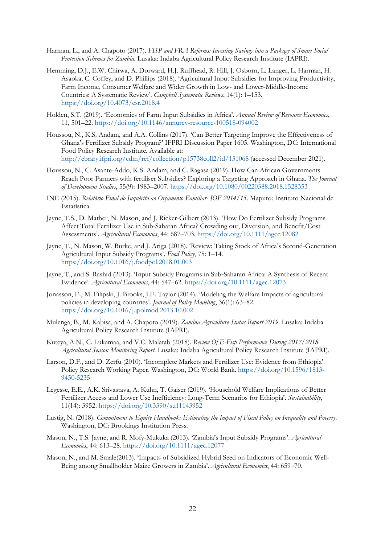- Harman, L., and A. Chapoto (2017). *FISP and FRA Reforms: Investing Savings into a Package of Smart Social Protection Schemes for Zambia*. Lusaka: Indaba Agricultural Policy Research Institute (IAPRI).
- Hemming, D.J., E.W. Chirwa, A. Dorward, H.J. Ruffhead, R. Hill, J. Osborn, L. Langer, L. Harman, H. Asaoka, C. Coffey, and D. Phillips (2018). 'Agricultural Input Subsidies for Improving Productivity, Farm Income, Consumer Welfare and Wider Growth in Low- and Lower-Middle-Income Countries: A Systematic Review'. *Campbell Systematic Reviews*, 14(1): 1–153. <https://doi.org/10.4073/csr.2018.4>
- Holden, S.T. (2019). 'Economics of Farm Input Subsidies in Africa'. *Annual Review of Resource Economics*, 11, 501–22.<https://doi.org/10.1146/annurev-resource-100518-094002>
- Houssou, N., K.S. Andam, and A.A. Collins (2017). 'Can Better Targeting Improve the Effectiveness of Ghana's Fertilizer Subsidy Program?' IFPRI Discussion Paper 1605. Washington, DC: International Food Policy Research Institute. Available at: <http://ebrary.ifpri.org/cdm/ref/collection/p15738coll2/id/131068> (accessed December 2021).
- Houssou, N., C. Asante-Addo, K.S. Andam, and C. Ragasa (2019). How Can African Governments Reach Poor Farmers with fertiliser Subsidies? Exploring a Targeting Approach in Ghana. *The Journal of Development Studies*, 55(9): 1983–2007.<https://doi.org/10.1080/00220388.2018.1528353>
- INE (2015). *Relatório Final do Inquérito ao Orçamento Familiar- IOF 2014/15*. Maputo: Instituto Nacional de Estatística.
- Jayne, T.S., D. Mather, N. Mason, and J. Ricker-Gilbert (2013). 'How Do Fertilizer Subsidy Programs Affect Total Fertilizer Use in Sub-Saharan Africa? Crowding out, Diversion, and Benefit/Cost Assessments'. *Agricultural Economics*, 44: 687–703.<https://doi.org/10.1111/agec.12082>
- Jayne, T., N. Mason, W. Burke, and J. Ariga (2018). 'Review: Taking Stock of Africa's Second-Generation Agricultural Input Subsidy Programs'. *Food Policy*, 75: 1–14. <https://doi.org/10.1016/j.foodpol.2018.01.003>
- Jayne, T., and S. Rashid (2013). 'Input Subsidy Programs in Sub‐Saharan Africa: A Synthesis of Recent Evidence'. *Agricultural Economics*, 44: 547–62.<https://doi.org/10.1111/agec.12073>
- Jonasson, E., M. Filipski, J. Brooks, J.E. Taylor (2014). 'Modeling the Welfare Impacts of agricultural policies in developing countries'. *Journal of Policy Modeling*, 36(1): 63–82. <https://doi.org/10.1016/j.jpolmod.2013.10.002>
- Mulenga, B., M. Kabisa, and A. Chapoto (2019). *Zambia Agriculture Status Report 2019*. Lusaka: Indaba Agricultural Policy Research Institute (IAPRI).
- Kuteya, A.N., C. Lukamaa, and V.C. Malatab (2018). *Review Of E-Fisp Performance During 2017/2018 Agricultural Season Monitoring Report*. Lusaka: Indaba Agricultural Policy Research Institute (IAPRI).
- Larson, D.F., and D. Zerfu (2010). 'Incomplete Markets and Fertilizer Use: Evidence from Ethiopia'. Policy Research Working Paper. Washington, DC: World Bank. [https://doi.org/10.1596/1813-](https://doi.org/10.1596/1813-9450-5235) [9450-5235](https://doi.org/10.1596/1813-9450-5235)
- Legesse, E.E., A.K. Srivastava, A. Kuhn, T. Gaiser (2019). 'Household Welfare Implications of Better Fertilizer Access and Lower Use Inefficiency: Long-Term Scenarios for Ethiopia'. *Sustainability*, 11(14): 3952. <https://doi.org/10.3390/su11143952>
- Lustig, N. (2018). *Commitment to Equity Handbook: Estimating the Impact of Fiscal Policy on Inequality and Poverty*. Washington, DC: Brookings Institution Press.
- Mason, N., T.S. Jayne, and R. Mofy-Mukuka (2013). 'Zambia's Input Subsidy Programs'. *Agricultural Economics*, 44: 613–28.<https://doi.org/10.1111/agec.12077>
- Mason, N., and M. Smale(2013). 'Impacts of Subsidized Hybrid Seed on Indicators of Economic Well-Being among Smallholder Maize Growers in Zambia'. *Agricultural Economics*, 44: 659–70.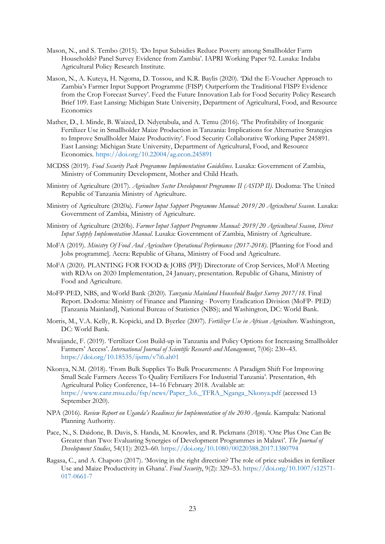- Mason, N., and S. Tembo (2015). 'Do Input Subsidies Reduce Poverty among Smallholder Farm Households? Panel Survey Evidence from Zambia'. IAPRI Working Paper 92. Lusaka: Indaba Agricultural Policy Research Institute.
- Mason, N., A. Kuteya, H. Ngoma, D. Tossou, and K.R. Baylis (2020). 'Did the E-Voucher Approach to Zambia's Farmer Input Support Programme (FISP) Outperform the Traditional FISP? Evidence from the Crop Forecast Survey'. Feed the Future Innovation Lab for Food Security Policy Research Brief 109. East Lansing: Michigan State University, Department of Agricultural, Food, and Resource Economics
- Mather, D., I. Minde, B. Waized, D. Ndyetabula, and A. Temu (2016). 'The Profitability of Inorganic Fertilizer Use in Smallholder Maize Production in Tanzania: Implications for Alternative Strategies to Improve Smallholder Maize Productivity'. Food Security Collaborative Working Paper 245891. East Lansing: Michigan State University, Department of Agricultural, Food, and Resource Economics. <https://doi.org/10.22004/ag.econ.245891>
- MCDSS (2019). *Food Security Pack Programme Implementation Guidelines*. Lusaka: Government of Zambia, Ministry of Community Development, Mother and Child Heath.
- Ministry of Agriculture (2017). *Agriculture Sector Development Programme II (ASDP II)*. Dodoma: The United Republic of Tanzania Ministry of Agriculture.
- Ministry of Agriculture (2020a). *Farmer Input Support Programme Manual: 2019/20 Agricultural Season*. Lusaka: Government of Zambia, Ministry of Agriculture.
- Ministry of Agriculture (2020b). *Farmer Input Support Programme Manual: 2019/20 Agricultural Season, Direct Input Supply Implementation Manual*. Lusaka: Government of Zambia, Ministry of Agriculture.
- MoFA (2019). *Ministry Of Food And Agriculture Operational Performance (2017-2018)*. [Planting for Food and Jobs programme]. Accra: Republic of Ghana, Ministry of Food and Agriculture.
- MoFA (2020). PLANTING FOR FOOD & JOBS (PFJ) Directorate of Crop Services, MoFA Meeting with RDAs on 2020 Implementation, 24 January, presentation. Republic of Ghana, Ministry of Food and Agriculture.
- MoFP-PED, NBS, and World Bank (2020). *Tanzania Mainland Household Budget Survey 2017/18*. Final Report. Dodoma: Ministry of Finance and Planning - Poverty Eradication Division (MoFP- PED) [Tanzania Mainland], National Bureau of Statistics (NBS); and Washington, DC: World Bank.
- Morris, M., V.A. Kelly, R. Kopicki, and D. Byerlee (2007). *Fertilizer Use in African Agriculture*. Washington, DC: World Bank.
- Mwaijande, F. (2019). 'Fertilizer Cost Build-up in Tanzania and Policy Options for Increasing Smallholder Farmers' Access'. *International Journal of Scientific Research and Management*, 7(06): 230–43. <https://doi.org/10.18535/ijsrm/v7i6.ah01>
- Nkonya, N.M. (2018). 'From Bulk Supplies To Bulk Procurements: A Paradigm Shift For Improving Small Scale Farmers Access To Quality Fertilizers For Industrial Tanzania'. Presentation, 4th Agricultural Policy Conference, 14–16 February 2018. Available at: [https://www.canr.msu.edu/fsp/news/Paper\\_3.6.\\_TFRA\\_Nganga\\_Nkonya.pdf](https://www.canr.msu.edu/fsp/news/Paper_3.6._TFRA_Nganga_Nkonya.pdf) (accessed 13 September 2020).
- NPA (2016). *Review Report on Uganda's Readiness for Implementation of the 2030 Agenda*. Kampala: National Planning Authority.
- Pace, N., S. Daidone, B. Davis, S. Handa, M. Knowles, and R. Pickmans (2018). 'One Plus One Can Be Greater than Two: Evaluating Synergies of Development Programmes in Malawi'. *The Journal of Development Studies*, 54(11): 2023–60.<https://doi.org/10.1080/00220388.2017.1380794>
- Ragasa, C., and A. Chapoto (2017). 'Moving in the right direction? The role of price subsidies in fertilizer Use and Maize Productivity in Ghana'. *Food Security*, 9(2): 329–53. [https://doi.org/10.1007/s12571-](https://doi.org/10.1007/s12571-017-0661-7) [017-0661-7](https://doi.org/10.1007/s12571-017-0661-7)